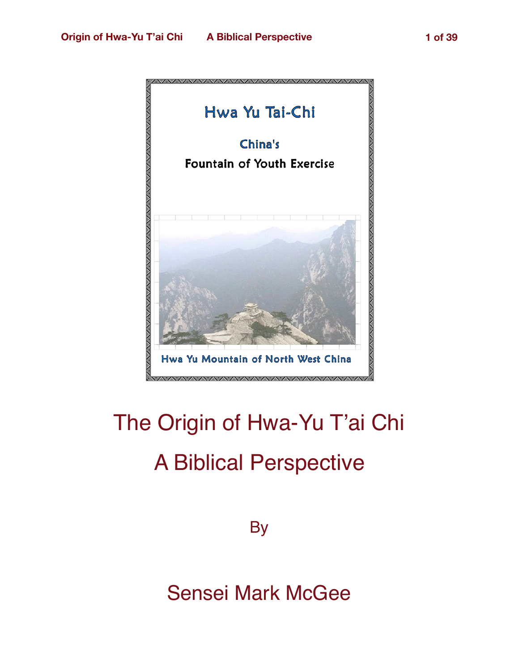

# The Origin of Hwa-Yu T'ai Chi A Biblical Perspective

**By** 

Sensei Mark McGee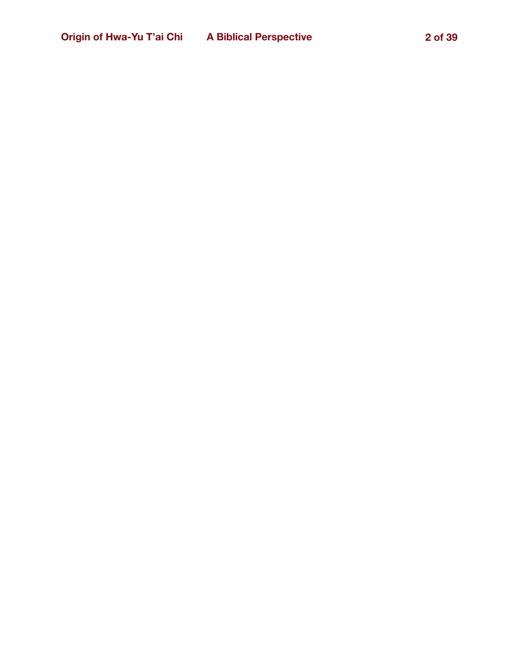#### **Origin of Hwa-Yu T'ai Chi A Biblical Perspective 2 of 39**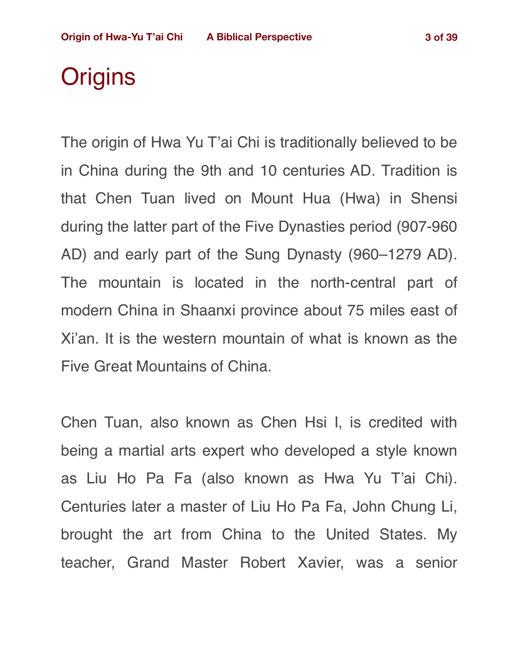# **Origins**

The origin of Hwa Yu T'ai Chi is traditionally believed to be in China during the 9th and 10 centuries AD. Tradition is that Chen Tuan lived on Mount Hua (Hwa) in Shensi during the latter part of the Five Dynasties period (907-960 AD) and early part of the Sung Dynasty (960–1279 AD). The mountain is located in the north-central part of modern China in Shaanxi province about 75 miles east of Xi'an. It is the western mountain of what is known as the Five Great Mountains of China.

Chen Tuan, also known as Chen Hsi I, is credited with being a martial arts expert who developed a style known as Liu Ho Pa Fa (also known as Hwa Yu T'ai Chi). Centuries later a master of Liu Ho Pa Fa, John Chung Li, brought the art from China to the United States. My teacher, Grand Master Robert Xavier, was a senior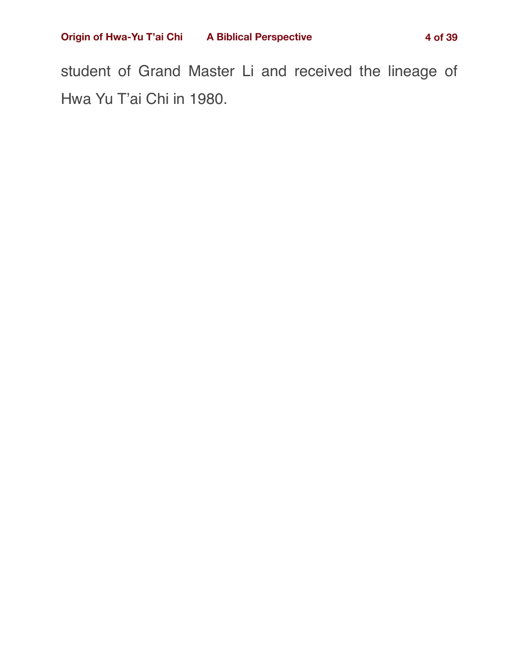student of Grand Master Li and received the lineage of Hwa Yu T'ai Chi in 1980.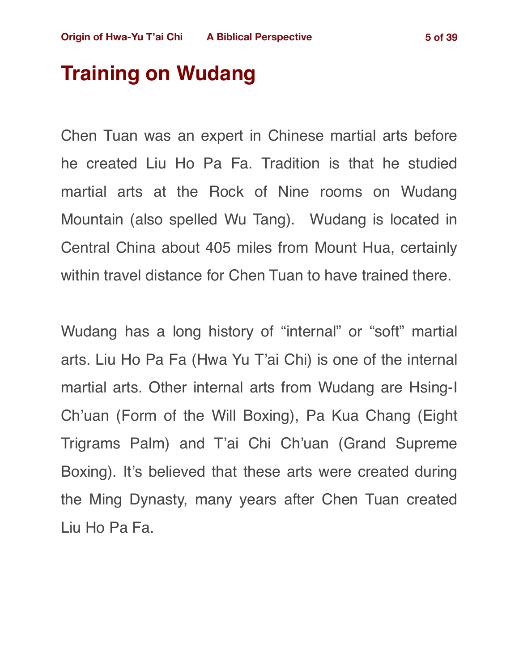### **Training on Wudang**

Chen Tuan was an expert in Chinese martial arts before he created Liu Ho Pa Fa. Tradition is that he studied martial arts at the Rock of Nine rooms on Wudang Mountain (also spelled Wu Tang). Wudang is located in Central China about 405 miles from Mount Hua, certainly within travel distance for Chen Tuan to have trained there.

Wudang has a long history of "internal" or "soft" martial arts. Liu Ho Pa Fa (Hwa Yu T'ai Chi) is one of the internal martial arts. Other internal arts from Wudang are Hsing-I Ch'uan (Form of the Will Boxing), Pa Kua Chang (Eight Trigrams Palm) and T'ai Chi Ch'uan (Grand Supreme Boxing). It's believed that these arts were created during the Ming Dynasty, many years after Chen Tuan created Liu Ho Pa Fa.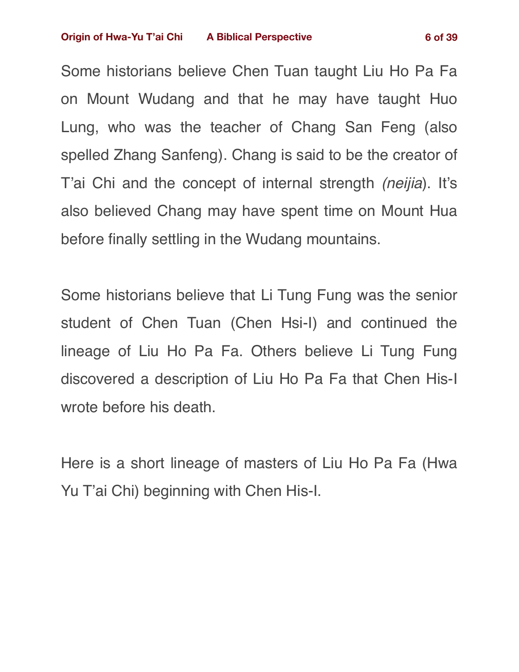Some historians believe Chen Tuan taught Liu Ho Pa Fa on Mount Wudang and that he may have taught Huo Lung, who was the teacher of Chang San Feng (also

spelled Zhang Sanfeng). Chang is said to be the creator of T'ai Chi and the concept of internal strength *(neijia*). It's also believed Chang may have spent time on Mount Hua before finally settling in the Wudang mountains.

Some historians believe that Li Tung Fung was the senior student of Chen Tuan (Chen Hsi-I) and continued the lineage of Liu Ho Pa Fa. Others believe Li Tung Fung discovered a description of Liu Ho Pa Fa that Chen His-I wrote before his death.

Here is a short lineage of masters of Liu Ho Pa Fa (Hwa Yu T'ai Chi) beginning with Chen His-I.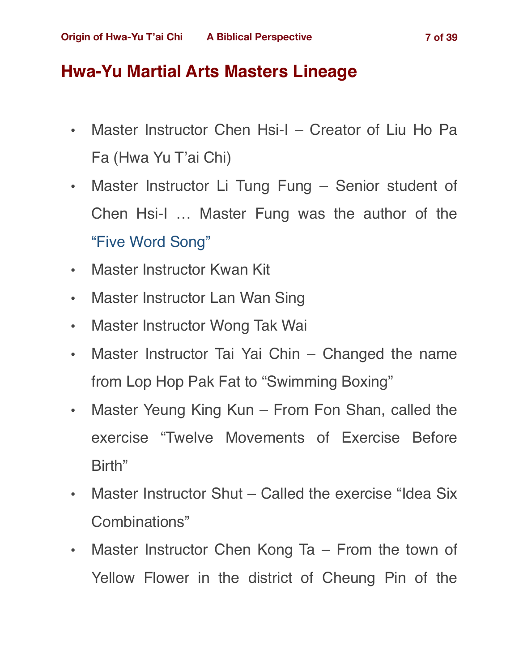#### **Hwa-Yu Martial Arts Masters Lineage**

- Master Instructor Chen Hsi-I Creator of Liu Ho Pa Fa (Hwa Yu T'ai Chi)
- Master Instructor Li Tung Fung Senior student of Chen Hsi-I … Master Fung was the author of the ["Five Word Song"](https://www.amazon.com/Chinese-Five-Word-Song/dp/0974633607)
- Master Instructor Kwan Kit
- Master Instructor Lan Wan Sing
- Master Instructor Wong Tak Wai
- Master Instructor Tai Yai Chin Changed the name from Lop Hop Pak Fat to "Swimming Boxing"
- Master Yeung King Kun From Fon Shan, called the exercise "Twelve Movements of Exercise Before Birth"
- Master Instructor Shut Called the exercise "Idea Six Combinations"
- Master Instructor Chen Kong Ta From the town of Yellow Flower in the district of Cheung Pin of the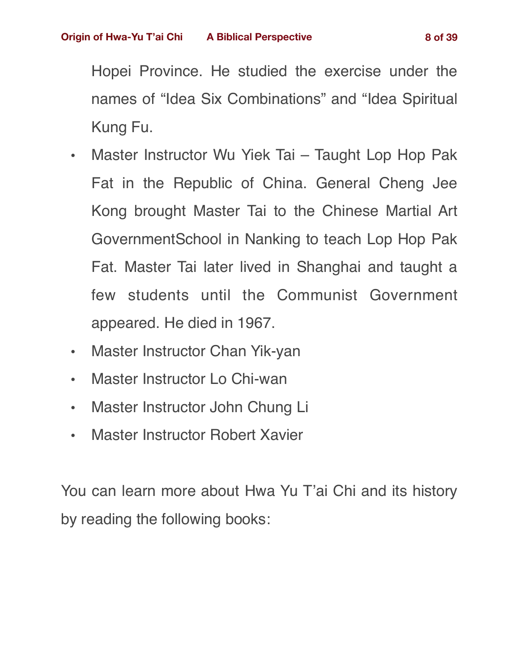Hopei Province. He studied the exercise under the names of "Idea Six Combinations" and "Idea Spiritual Kung Fu.

- Master Instructor Wu Yiek Tai Taught Lop Hop Pak Fat in the Republic of China. General Cheng Jee Kong brought Master Tai to the Chinese Martial Art GovernmentSchool in Nanking to teach Lop Hop Pak Fat. Master Tai later lived in Shanghai and taught a few students until the Communist Government appeared. He died in 1967.
- Master Instructor Chan Yik-yan
- Master Instructor Lo Chi-wan
- Master Instructor John Chung Li
- Master Instructor Robert Xavier

You can learn more about Hwa Yu T'ai Chi and its history by reading the following books: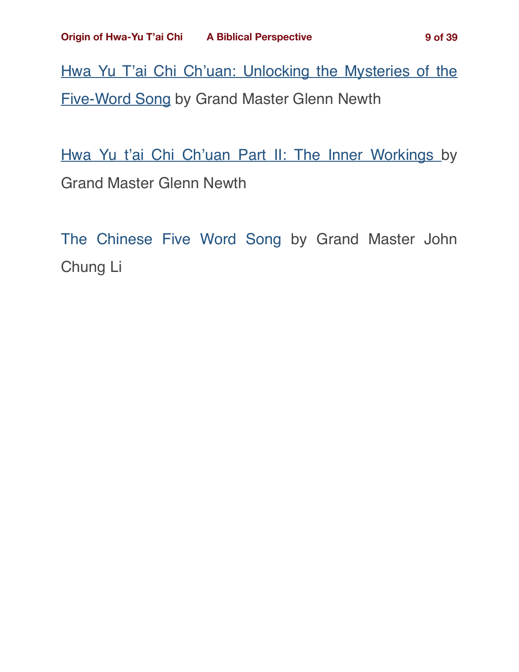[Hwa Yu T'ai Chi Ch'uan: Unlocking the Mysteries of the](https://www.amazon.com/Hwa-Tai-Chi-Chuan-Unlocking/dp/1583941614) [Five-Word Song](https://www.amazon.com/Hwa-Tai-Chi-Chuan-Unlocking/dp/1583941614) by Grand Master Glenn Newth

[Hwa Yu t'ai Chi Ch'uan Part II: The Inner Workings](https://www.amazon.com/Hwa-tai-Chi-Chuan-Part-ebook/dp/B00MMTD31K/ref=sr_1_1?ie=UTF8&qid=1408974294&sr=8-1&keywords=hwa+yu+t%27ai+chi) by Grand Master Glenn Newth

[The Chinese Five Word Song](https://www.amazon.com/Chinese-Five-Word-Song/dp/0974633607/ref=sr_1_1?crid=19860DHCY3X8B&keywords=the+chinese+five+word+song&qid=1556135510&s=gateway&sprefix=Chinese+five+word+song%2Caps%2C226&sr=8-1) by Grand Master John Chung Li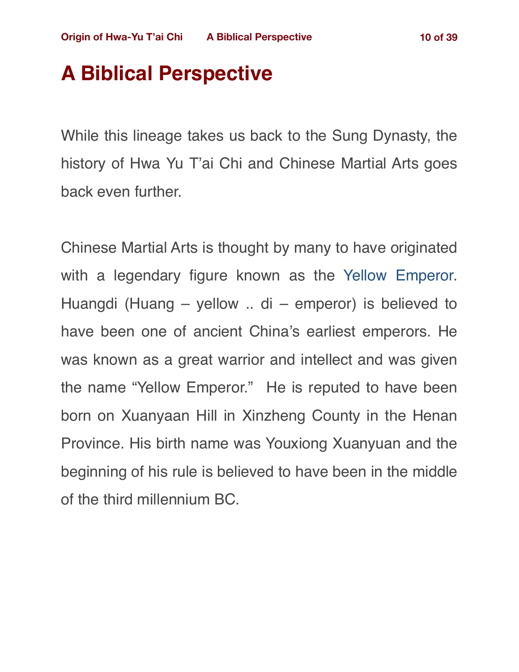### **A Biblical Perspective**

While this lineage takes us back to the Sung Dynasty, the history of Hwa Yu T'ai Chi and Chinese Martial Arts goes back even further.

Chinese Martial Arts is thought by many to have originated with a legendary figure known as the [Yellow Emperor.](https://www.britannica.com/topic/Huangdi) Huangdi (Huang – yellow .. di – emperor) is believed to have been one of ancient China's earliest emperors. He was known as a great warrior and intellect and was given the name "Yellow Emperor." He is reputed to have been born on Xuanyaan Hill in Xinzheng County in the Henan Province. His birth name was Youxiong Xuanyuan and the beginning of his rule is believed to have been in the middle of the third millennium BC.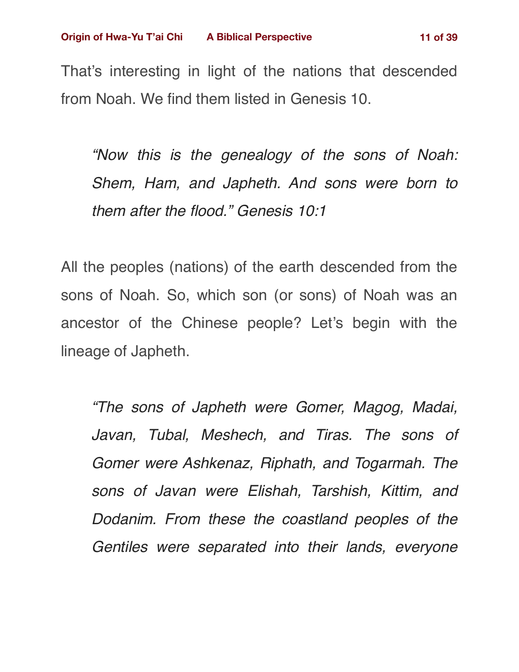That's interesting in light of the nations that descended from Noah. We find them listed in Genesis 10.

*"Now this is the genealogy of the sons of Noah: Shem, Ham, and Japheth. And sons were born to them after the flood." Genesis 10:1*

All the peoples (nations) of the earth descended from the sons of Noah. So, which son (or sons) of Noah was an ancestor of the Chinese people? Let's begin with the lineage of Japheth.

*"The sons of Japheth were Gomer, Magog, Madai, Javan, Tubal, Meshech, and Tiras. The sons of Gomer were Ashkenaz, Riphath, and Togarmah. The sons of Javan were Elishah, Tarshish, Kittim, and Dodanim. From these the coastland peoples of the Gentiles were separated into their lands, everyone*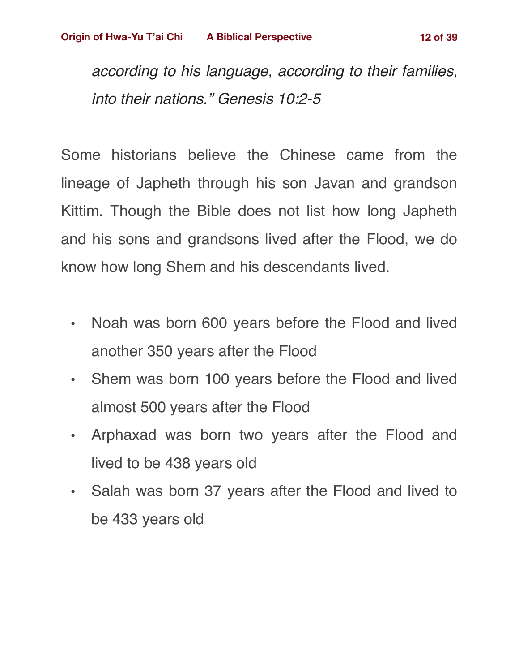*according to his language, according to their families, into their nations." Genesis 10:2-5*

Some historians believe the Chinese came from the lineage of Japheth through his son Javan and grandson Kittim. Though the Bible does not list how long Japheth and his sons and grandsons lived after the Flood, we do know how long Shem and his descendants lived.

- Noah was born 600 years before the Flood and lived another 350 years after the Flood
- Shem was born 100 years before the Flood and lived almost 500 years after the Flood
- Arphaxad was born two years after the Flood and lived to be 438 years old
- Salah was born 37 years after the Flood and lived to be 433 years old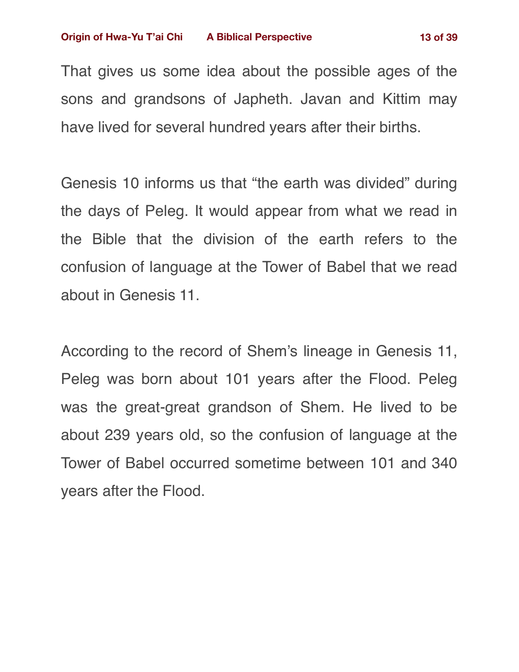That gives us some idea about the possible ages of the sons and grandsons of Japheth. Javan and Kittim may have lived for several hundred years after their births.

Genesis 10 informs us that "the earth was divided" during the days of Peleg. It would appear from what we read in the Bible that the division of the earth refers to the confusion of language at the Tower of Babel that we read about in Genesis 11.

According to the record of Shem's lineage in Genesis 11, Peleg was born about 101 years after the Flood. Peleg was the great-great grandson of Shem. He lived to be about 239 years old, so the confusion of language at the Tower of Babel occurred sometime between 101 and 340 years after the Flood.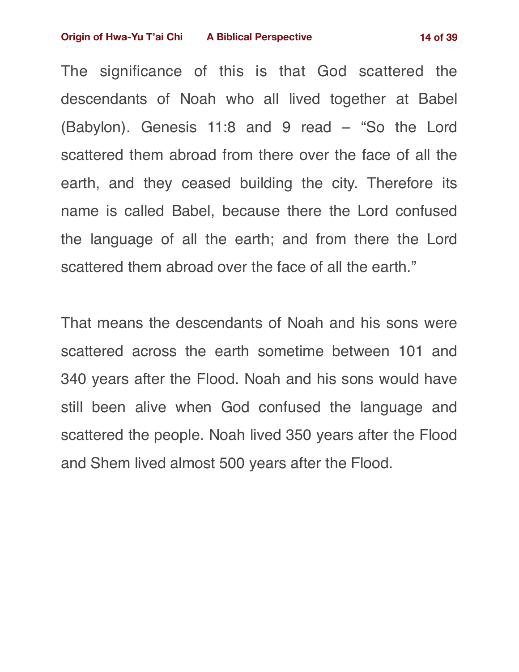The significance of this is that God scattered the descendants of Noah who all lived together at Babel (Babylon). Genesis 11:8 and 9 read – "So the Lord scattered them abroad from there over the face of all the earth, and they ceased building the city. Therefore its name is called Babel, because there the Lord confused the language of all the earth; and from there the Lord scattered them abroad over the face of all the earth."

That means the descendants of Noah and his sons were scattered across the earth sometime between 101 and 340 years after the Flood. Noah and his sons would have still been alive when God confused the language and scattered the people. Noah lived 350 years after the Flood and Shem lived almost 500 years after the Flood.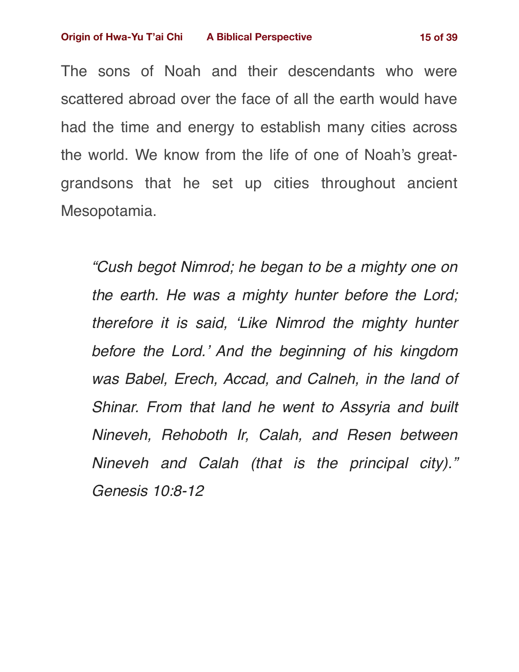The sons of Noah and their descendants who were scattered abroad over the face of all the earth would have had the time and energy to establish many cities across the world. We know from the life of one of Noah's greatgrandsons that he set up cities throughout ancient Mesopotamia.

*"Cush begot Nimrod; he began to be a mighty one on the earth. He was a mighty hunter before the Lord; therefore it is said, 'Like Nimrod the mighty hunter before the Lord.' And the beginning of his kingdom was Babel, Erech, Accad, and Calneh, in the land of Shinar. From that land he went to Assyria and built Nineveh, Rehoboth Ir, Calah, and Resen between Nineveh and Calah (that is the principal city)." Genesis 10:8-12*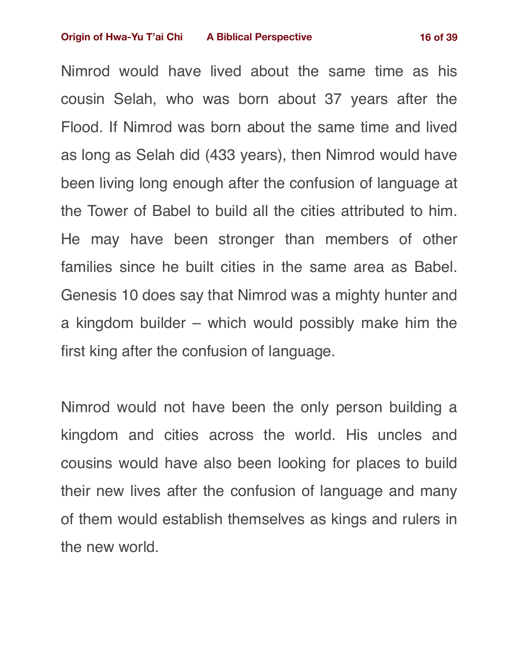Nimrod would have lived about the same time as his cousin Selah, who was born about 37 years after the Flood. If Nimrod was born about the same time and lived as long as Selah did (433 years), then Nimrod would have been living long enough after the confusion of language at the Tower of Babel to build all the cities attributed to him. He may have been stronger than members of other families since he built cities in the same area as Babel. Genesis 10 does say that Nimrod was a mighty hunter and a kingdom builder – which would possibly make him the first king after the confusion of language.

Nimrod would not have been the only person building a kingdom and cities across the world. His uncles and cousins would have also been looking for places to build their new lives after the confusion of language and many of them would establish themselves as kings and rulers in the new world.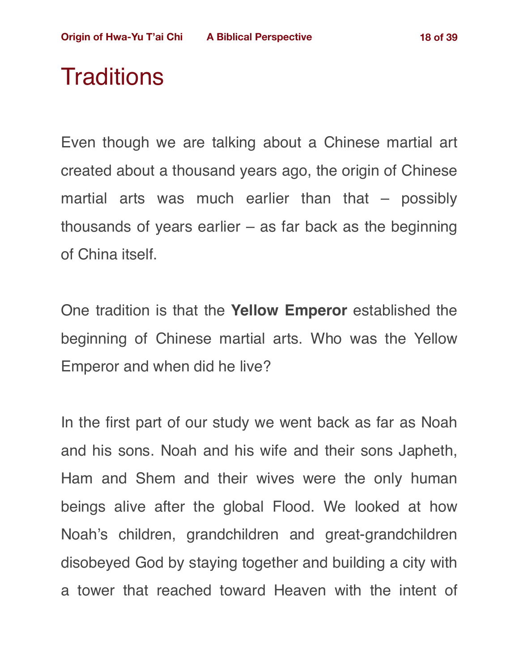## **Traditions**

Even though we are talking about a Chinese martial art created about a thousand years ago, the origin of Chinese martial arts was much earlier than that  $-$  possibly thousands of years earlier – as far back as the beginning of China itself.

One tradition is that the **Yellow Emperor** established the beginning of Chinese martial arts. Who was the Yellow Emperor and when did he live?

In the first part of our study we went back as far as Noah and his sons. Noah and his wife and their sons Japheth, Ham and Shem and their wives were the only human beings alive after the global Flood. We looked at how Noah's children, grandchildren and great-grandchildren disobeyed God by staying together and building a city with a tower that reached toward Heaven with the intent of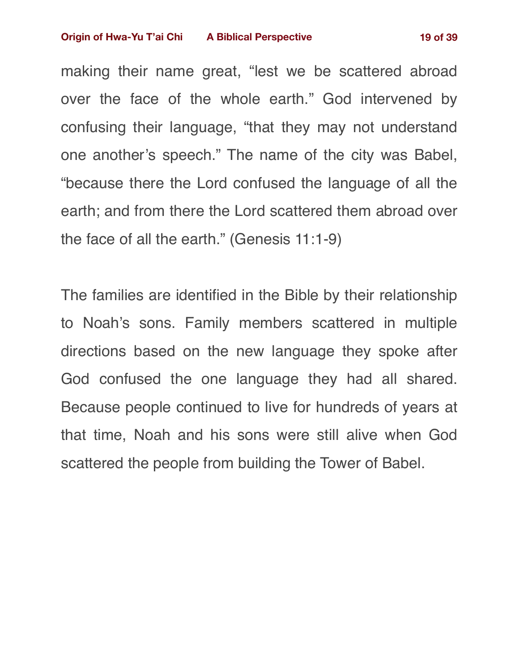making their name great, "lest we be scattered abroad over the face of the whole earth." God intervened by confusing their language, "that they may not understand one another's speech." The name of the city was Babel, "because there the Lord confused the language of all the earth; and from there the Lord scattered them abroad over the face of all the earth." (Genesis 11:1-9)

The families are identified in the Bible by their relationship to Noah's sons. Family members scattered in multiple directions based on the new language they spoke after God confused the one language they had all shared. Because people continued to live for hundreds of years at that time, Noah and his sons were still alive when God scattered the people from building the Tower of Babel.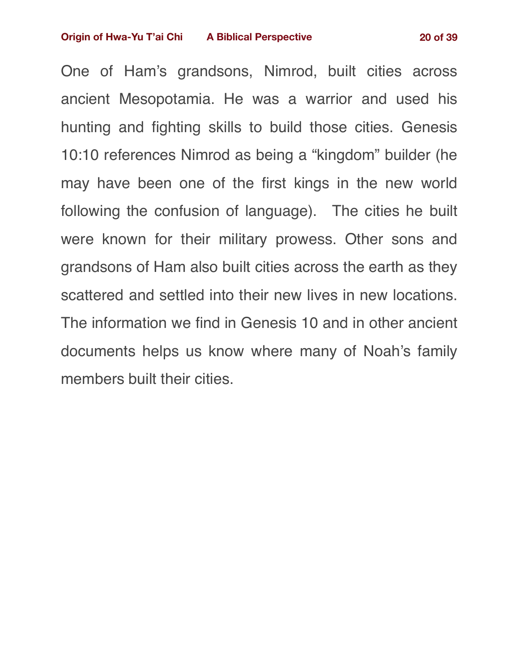One of Ham's grandsons, Nimrod, built cities across ancient Mesopotamia. He was a warrior and used his hunting and fighting skills to build those cities. Genesis 10:10 references Nimrod as being a "kingdom" builder (he may have been one of the first kings in the new world following the confusion of language). The cities he built were known for their military prowess. Other sons and grandsons of Ham also built cities across the earth as they scattered and settled into their new lives in new locations. The information we find in Genesis 10 and in other ancient documents helps us know where many of Noah's family members built their cities.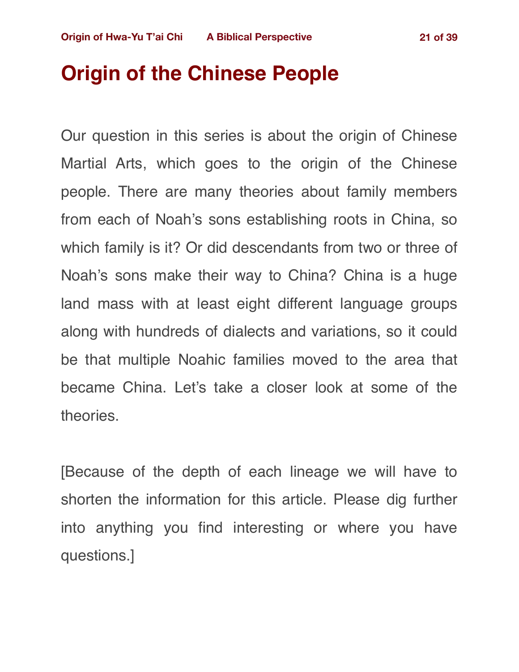#### **Origin of the Chinese People**

Our question in this series is about the origin of Chinese Martial Arts, which goes to the origin of the Chinese people. There are many theories about family members from each of Noah's sons establishing roots in China, so which family is it? Or did descendants from two or three of Noah's sons make their way to China? China is a huge land mass with at least eight different language groups along with hundreds of dialects and variations, so it could be that multiple Noahic families moved to the area that became China. Let's take a closer look at some of the theories.

[Because of the depth of each lineage we will have to shorten the information for this article. Please dig further into anything you find interesting or where you have questions.]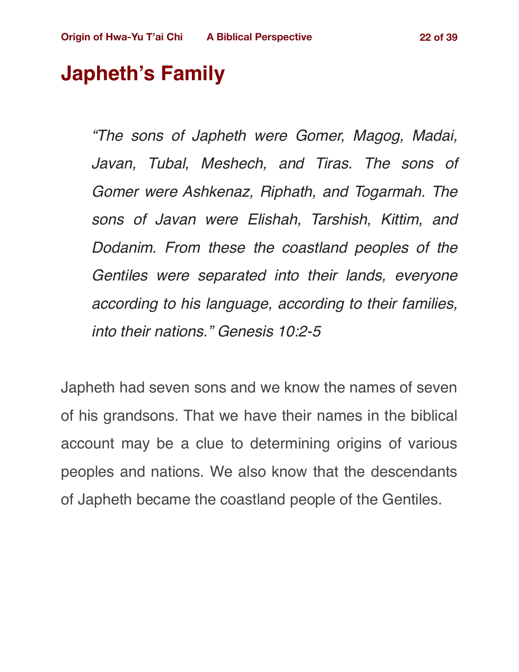### **Japheth's Family**

*"The sons of Japheth were Gomer, Magog, Madai, Javan, Tubal, Meshech, and Tiras. The sons of Gomer were Ashkenaz, Riphath, and Togarmah. The sons of Javan were Elishah, Tarshish, Kittim, and Dodanim. From these the coastland peoples of the Gentiles were separated into their lands, everyone according to his language, according to their families, into their nations." Genesis 10:2-5*

Japheth had seven sons and we know the names of seven of his grandsons. That we have their names in the biblical account may be a clue to determining origins of various peoples and nations. We also know that the descendants of Japheth became the coastland people of the Gentiles.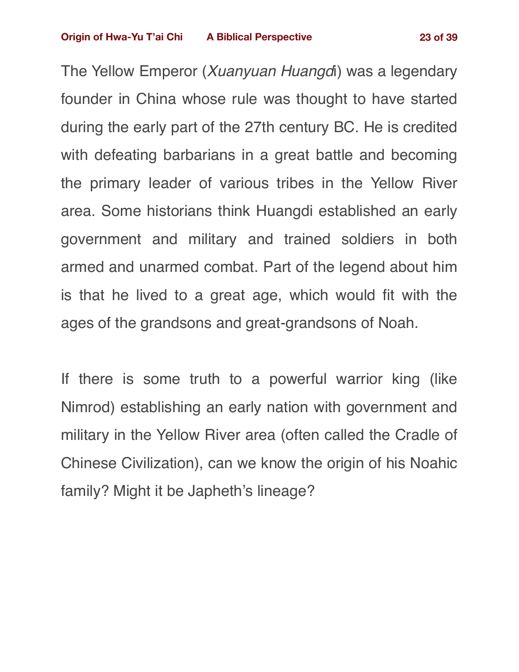The Yellow Emperor (*Xuanyuan Huangd*i) was a legendary founder in China whose rule was thought to have started during the early part of the 27th century BC. He is credited with defeating barbarians in a great battle and becoming the primary leader of various tribes in the Yellow River area. Some historians think Huangdi established an early government and military and trained soldiers in both armed and unarmed combat. Part of the legend about him is that he lived to a great age, which would fit with the ages of the grandsons and great-grandsons of Noah.

If there is some truth to a powerful warrior king (like Nimrod) establishing an early nation with government and military in the Yellow River area (often called the Cradle of Chinese Civilization), can we know the origin of his Noahic family? Might it be Japheth's lineage?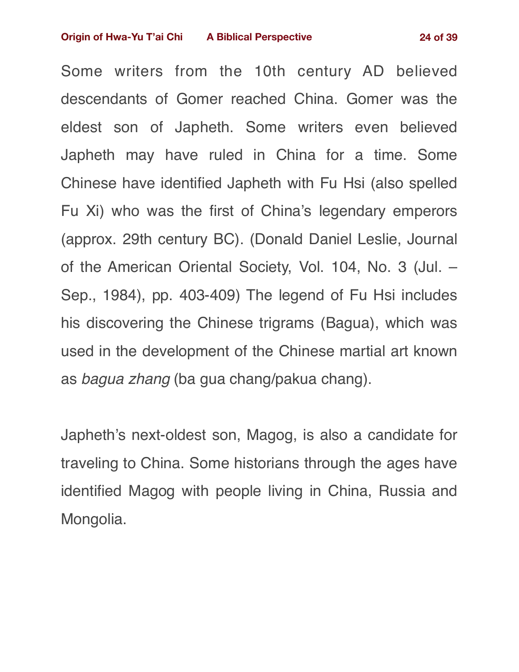Some writers from the 10th century AD believed descendants of Gomer reached China. Gomer was the eldest son of Japheth. Some writers even believed Japheth may have ruled in China for a time. Some Chinese have identified Japheth with Fu Hsi (also spelled Fu Xi) who was the first of China's legendary emperors (approx. 29th century BC). (Donald Daniel Leslie, Journal of the American Oriental Society, Vol. 104, No. 3 (Jul. – Sep., 1984), pp. 403-409) The legend of Fu Hsi includes his discovering the Chinese trigrams (Bagua), which was used in the development of the Chinese martial art known as *bagua zhang* (ba gua chang/pakua chang).

Japheth's next-oldest son, Magog, is also a candidate for traveling to China. Some historians through the ages have identified Magog with people living in China, Russia and Mongolia.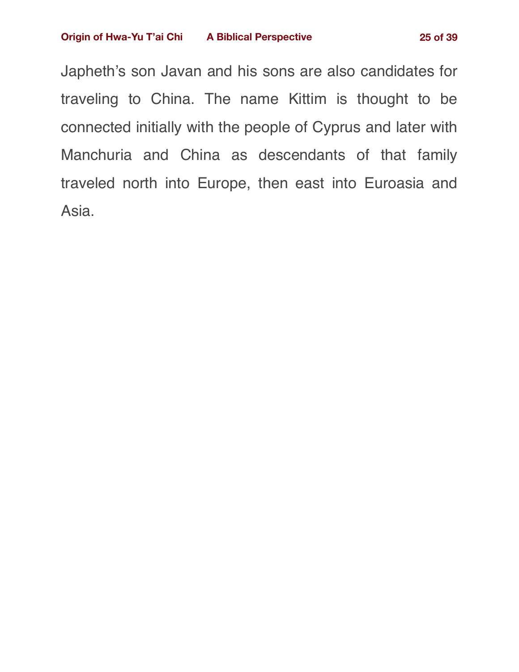Japheth's son Javan and his sons are also candidates for traveling to China. The name Kittim is thought to be connected initially with the people of Cyprus and later with Manchuria and China as descendants of that family traveled north into Europe, then east into Euroasia and Asia.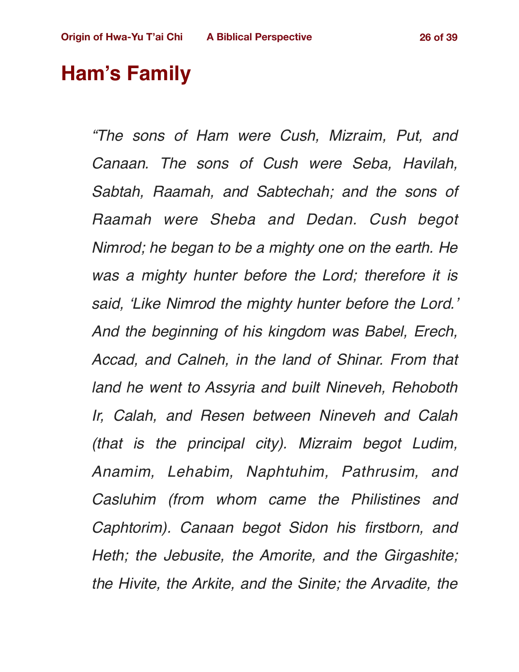#### **Ham's Family**

*"The sons of Ham were Cush, Mizraim, Put, and Canaan. The sons of Cush were Seba, Havilah, Sabtah, Raamah, and Sabtechah; and the sons of Raamah were Sheba and Dedan. Cush begot Nimrod; he began to be a mighty one on the earth. He was a mighty hunter before the Lord; therefore it is said, 'Like Nimrod the mighty hunter before the Lord.' And the beginning of his kingdom was Babel, Erech, Accad, and Calneh, in the land of Shinar. From that land he went to Assyria and built Nineveh, Rehoboth Ir, Calah, and Resen between Nineveh and Calah (that is the principal city). Mizraim begot Ludim, Anamim, Lehabim, Naphtuhim, Pathrusim, and Casluhim (from whom came the Philistines and Caphtorim). Canaan begot Sidon his firstborn, and Heth; the Jebusite, the Amorite, and the Girgashite; the Hivite, the Arkite, and the Sinite; the Arvadite, the*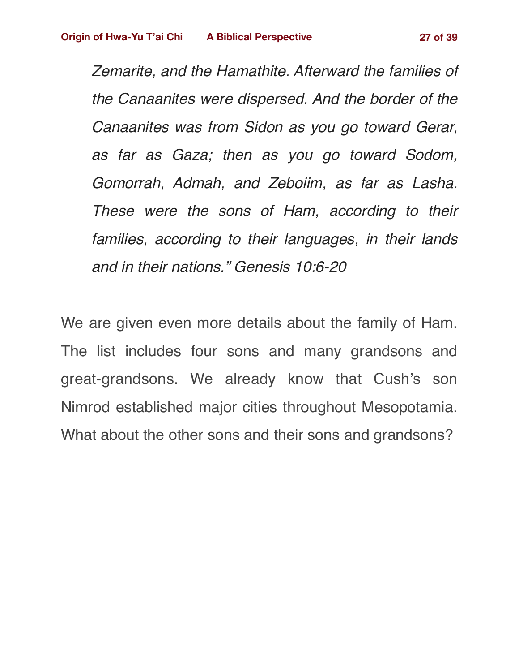*Zemarite, and the Hamathite. Afterward the families of the Canaanites were dispersed. And the border of the Canaanites was from Sidon as you go toward Gerar, as far as Gaza; then as you go toward Sodom, Gomorrah, Admah, and Zeboiim, as far as Lasha. These were the sons of Ham, according to their families, according to their languages, in their lands and in their nations." Genesis 10:6-20*

We are given even more details about the family of Ham. The list includes four sons and many grandsons and great-grandsons. We already know that Cush's son Nimrod established major cities throughout Mesopotamia. What about the other sons and their sons and grandsons?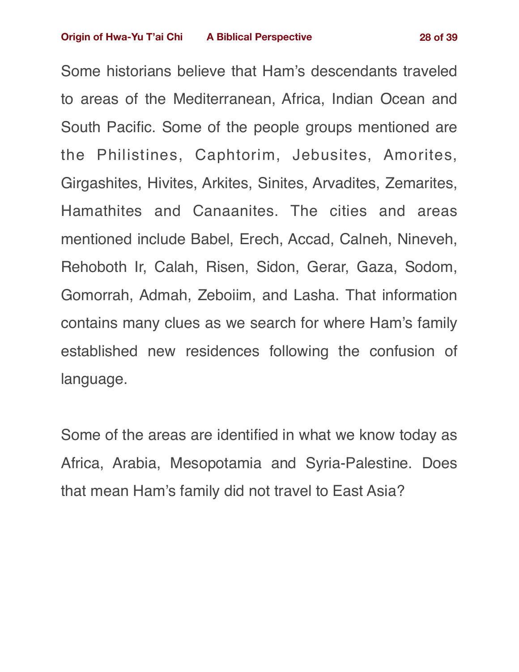Some historians believe that Ham's descendants traveled to areas of the Mediterranean, Africa, Indian Ocean and South Pacific. Some of the people groups mentioned are the Philistines, Caphtorim, Jebusites, Amorites, Girgashites, Hivites, Arkites, Sinites, Arvadites, Zemarites, Hamathites and Canaanites. The cities and areas mentioned include Babel, Erech, Accad, Calneh, Nineveh, Rehoboth Ir, Calah, Risen, Sidon, Gerar, Gaza, Sodom, Gomorrah, Admah, Zeboiim, and Lasha. That information contains many clues as we search for where Ham's family established new residences following the confusion of language.

Some of the areas are identified in what we know today as Africa, Arabia, Mesopotamia and Syria-Palestine. Does that mean Ham's family did not travel to East Asia?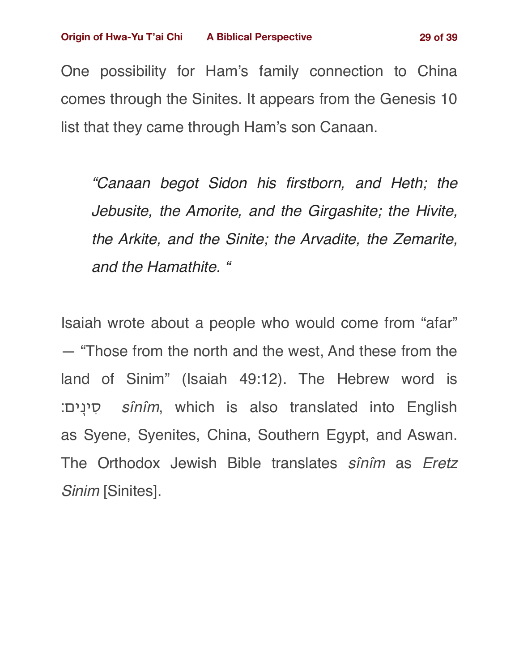One possibility for Ham's family connection to China comes through the Sinites. It appears from the Genesis 10 list that they came through Ham's son Canaan.

*"Canaan begot Sidon his firstborn, and Heth; the Jebusite, the Amorite, and the Girgashite; the Hivite, the Arkite, and the Sinite; the Arvadite, the Zemarite, and the Hamathite. "*

Isaiah wrote about a people who would come from "afar" — "Those from the north and the west, And these from the land of Sinim" (Isaiah 49:12). The Hebrew word is ים׃ִֽינִס *sînîm*, which is also translated into English as Syene, Syenites, China, Southern Egypt, and Aswan. The Orthodox Jewish Bible translates *sînîm* as *Eretz Sinim* [Sinites].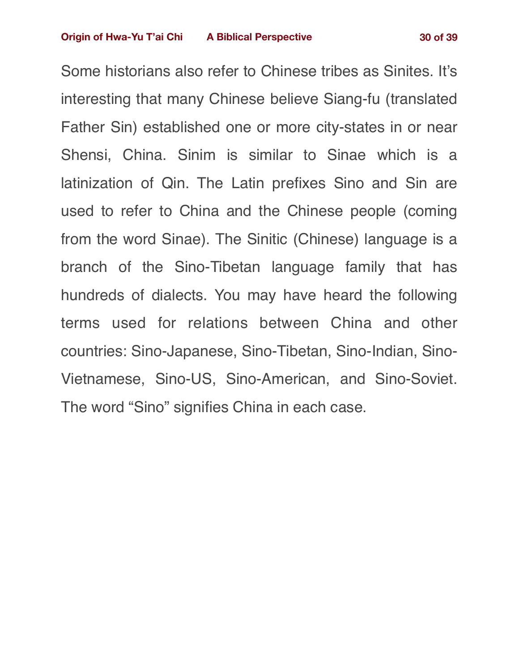Some historians also refer to Chinese tribes as Sinites. It's interesting that many Chinese believe Siang-fu (translated Father Sin) established one or more city-states in or near Shensi, China. Sinim is similar to Sinae which is a latinization of Qin. The Latin prefixes Sino and Sin are used to refer to China and the Chinese people (coming from the word Sinae). The Sinitic (Chinese) language is a branch of the Sino-Tibetan language family that has hundreds of dialects. You may have heard the following terms used for relations between China and other countries: Sino-Japanese, Sino-Tibetan, Sino-Indian, Sino-Vietnamese, Sino-US, Sino-American, and Sino-Soviet. The word "Sino" signifies China in each case.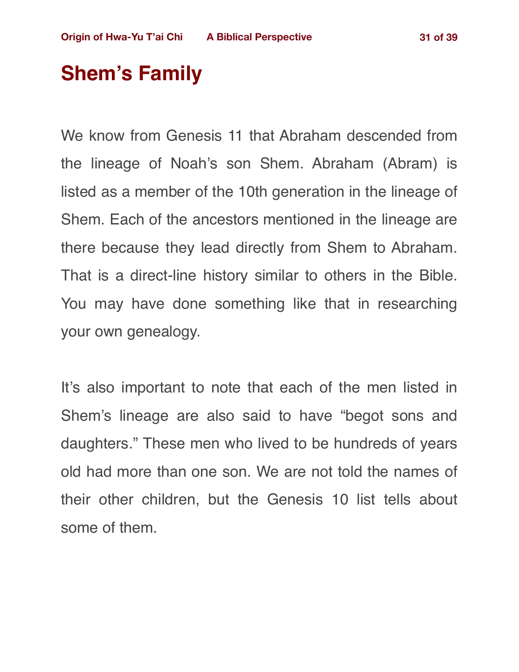### **Shem's Family**

We know from Genesis 11 that Abraham descended from the lineage of Noah's son Shem. Abraham (Abram) is listed as a member of the 10th generation in the lineage of Shem. Each of the ancestors mentioned in the lineage are there because they lead directly from Shem to Abraham. That is a direct-line history similar to others in the Bible. You may have done something like that in researching your own genealogy.

It's also important to note that each of the men listed in Shem's lineage are also said to have "begot sons and daughters." These men who lived to be hundreds of years old had more than one son. We are not told the names of their other children, but the Genesis 10 list tells about some of them.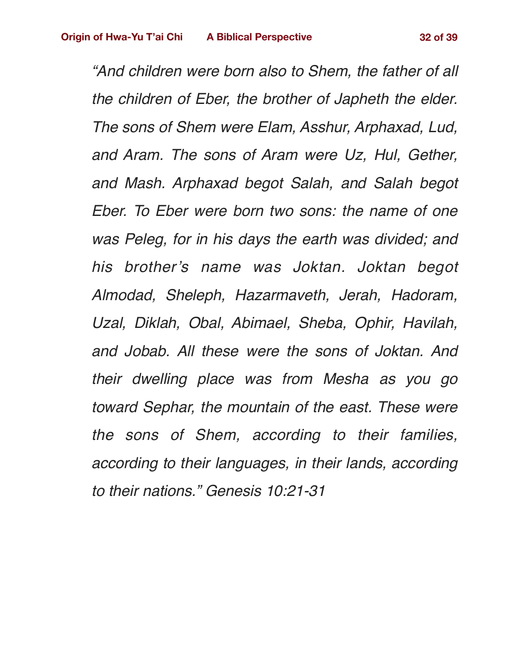*"And children were born also to Shem, the father of all the children of Eber, the brother of Japheth the elder. The sons of Shem were Elam, Asshur, Arphaxad, Lud, and Aram. The sons of Aram were Uz, Hul, Gether, and Mash. Arphaxad begot Salah, and Salah begot Eber. To Eber were born two sons: the name of one was Peleg, for in his days the earth was divided; and his brother's name was Joktan. Joktan begot Almodad, Sheleph, Hazarmaveth, Jerah, Hadoram, Uzal, Diklah, Obal, Abimael, Sheba, Ophir, Havilah, and Jobab. All these were the sons of Joktan. And their dwelling place was from Mesha as you go toward Sephar, the mountain of the east. These were the sons of Shem, according to their families, according to their languages, in their lands, according to their nations." Genesis 10:21-31*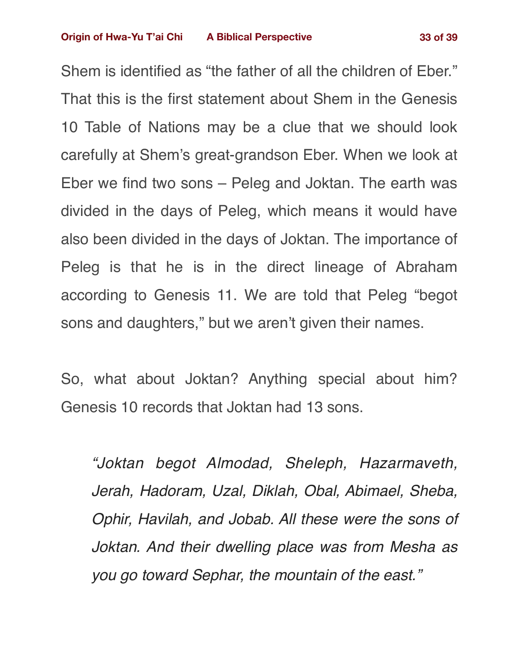Shem is identified as "the father of all the children of Eber." That this is the first statement about Shem in the Genesis 10 Table of Nations may be a clue that we should look carefully at Shem's great-grandson Eber. When we look at Eber we find two sons – Peleg and Joktan. The earth was divided in the days of Peleg, which means it would have also been divided in the days of Joktan. The importance of Peleg is that he is in the direct lineage of Abraham according to Genesis 11. We are told that Peleg "begot sons and daughters," but we aren't given their names.

So, what about Joktan? Anything special about him? Genesis 10 records that Joktan had 13 sons.

*"Joktan begot Almodad, Sheleph, Hazarmaveth, Jerah, Hadoram, Uzal, Diklah, Obal, Abimael, Sheba, Ophir, Havilah, and Jobab. All these were the sons of Joktan. And their dwelling place was from Mesha as you go toward Sephar, the mountain of the east."*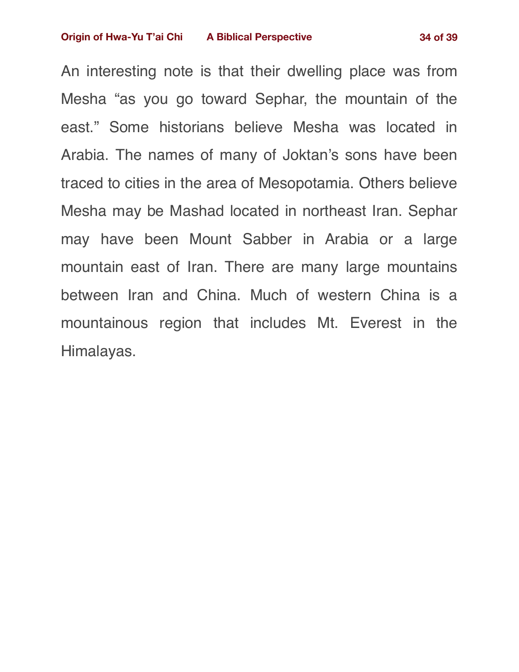An interesting note is that their dwelling place was from Mesha "as you go toward Sephar, the mountain of the east." Some historians believe Mesha was located in Arabia. The names of many of Joktan's sons have been traced to cities in the area of Mesopotamia. Others believe Mesha may be Mashad located in northeast Iran. Sephar may have been Mount Sabber in Arabia or a large mountain east of Iran. There are many large mountains between Iran and China. Much of western China is a mountainous region that includes Mt. Everest in the Himalayas.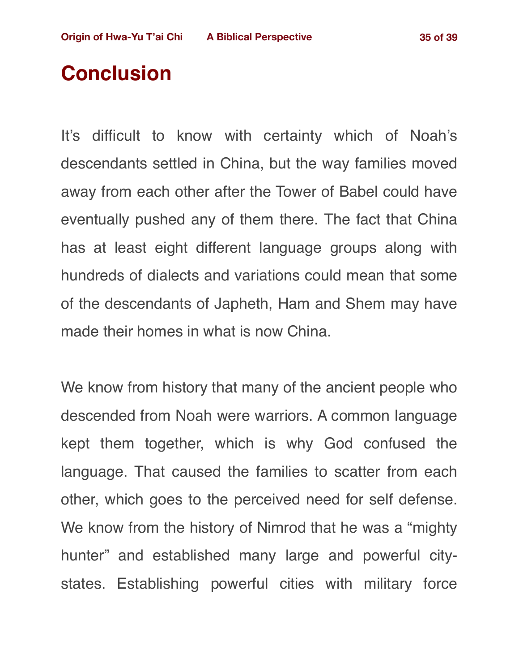#### **Conclusion**

It's difficult to know with certainty which of Noah's descendants settled in China, but the way families moved away from each other after the Tower of Babel could have eventually pushed any of them there. The fact that China has at least eight different language groups along with hundreds of dialects and variations could mean that some of the descendants of Japheth, Ham and Shem may have made their homes in what is now China.

We know from history that many of the ancient people who descended from Noah were warriors. A common language kept them together, which is why God confused the language. That caused the families to scatter from each other, which goes to the perceived need for self defense. We know from the history of Nimrod that he was a "mighty" hunter" and established many large and powerful citystates. Establishing powerful cities with military force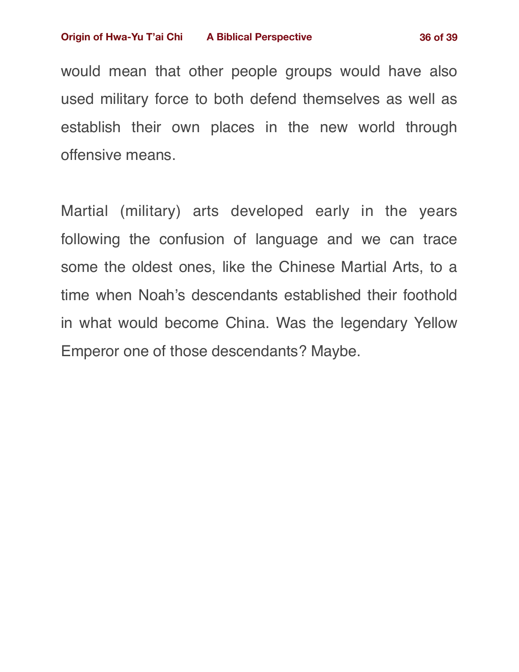would mean that other people groups would have also used military force to both defend themselves as well as establish their own places in the new world through offensive means.

Martial (military) arts developed early in the years following the confusion of language and we can trace some the oldest ones, like the Chinese Martial Arts, to a time when Noah's descendants established their foothold in what would become China. Was the legendary Yellow Emperor one of those descendants? Maybe.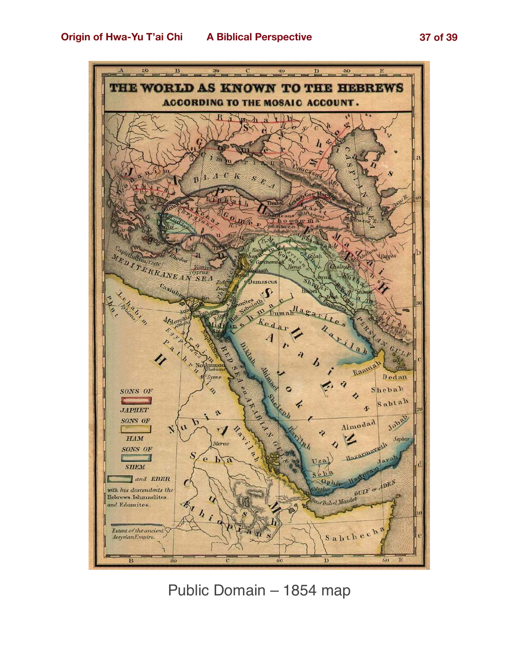

Public Domain – 1854 map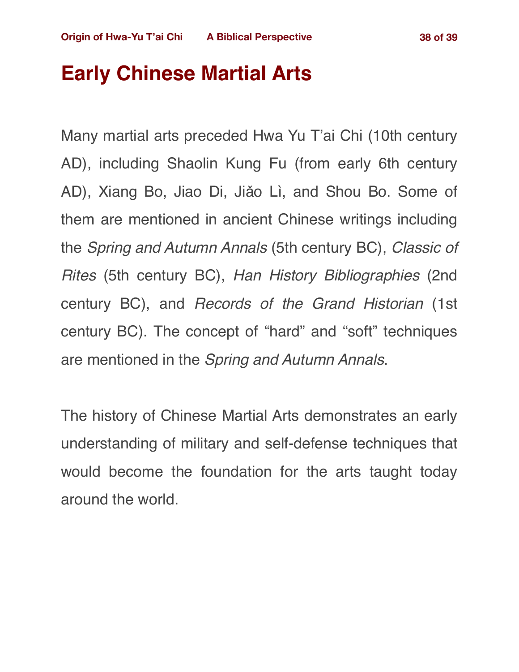#### **Early Chinese Martial Arts**

Many martial arts preceded Hwa Yu T'ai Chi (10th century AD), including Shaolin Kung Fu (from early 6th century AD), Xiang Bo, Jiao Di, Jiǎo Lì, and Shou Bo. Some of them are mentioned in ancient Chinese writings including the *Spring and Autumn Annals* (5th century BC), *Classic of Rites* (5th century BC), *Han History Bibliographies* (2nd century BC), and *Records of the Grand Historian* (1st century BC). The concept of "hard" and "soft" techniques are mentioned in the *Spring and Autumn Annals*.

The history of Chinese Martial Arts demonstrates an early understanding of military and self-defense techniques that would become the foundation for the arts taught today around the world.